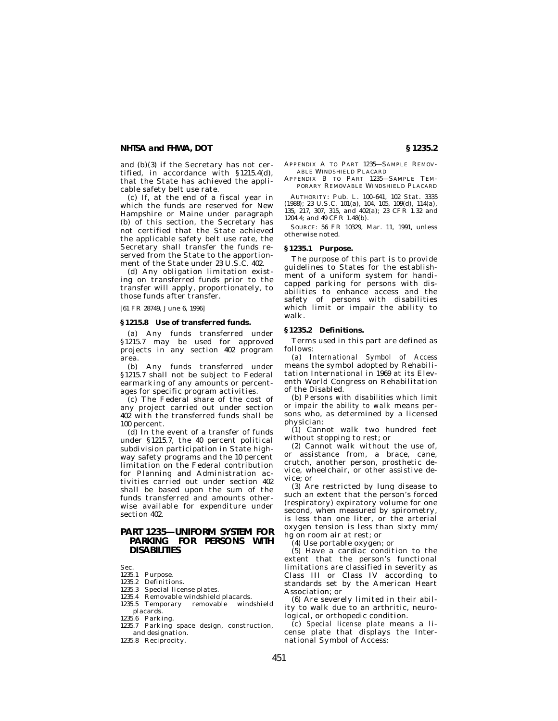#### **NHTSA and FHWA, DOT § 1235.2**

and (b)(3) if the Secretary has not certified, in accordance with § 1215.4(d), that the State has achieved the applicable safety belt use rate.

(c) If, at the end of a fiscal year in which the funds are reserved for New Hampshire or Maine under paragraph (b) of this section, the Secretary has not certified that the State achieved the applicable safety belt use rate, the Secretary shall transfer the funds reserved from the State to the apportionment of the State under 23 U.S.C. 402.

(d) Any obligation limitation existing on transferred funds prior to the transfer will apply, proportionately, to those funds after transfer.

[61 FR 28749, June 6, 1996]

#### **§ 1215.8 Use of transferred funds.**

(a) Any funds transferred under § 1215.7 may be used for approved projects in any section 402 program area.

(b) Any funds transferred under § 1215.7 shall not be subject to Federal earmarking of any amounts or percentages for specific program activities.

(c) The Federal share of the cost of any project carried out under section 402 with the transferred funds shall be 100 percent.

(d) In the event of a transfer of funds under § 1215.7, the 40 percent political subdivision participation in State highway safety programs and the 10 percent limitation on the Federal contribution for Planning and Administration activities carried out under section 402 shall be based upon the sum of the funds transferred and amounts otherwise available for expenditure under section 402.

## **PART 1235—UNIFORM SYSTEM FOR PARKING FOR PERSONS WITH DISABILITIES**

Sec.

- 1235.1 Purpose.
- 1235.2 Definitions.
- 1235.3 Special license plates.
- 1235.4 Removable windshield placards.
- 1235.5 Temporary removable windshield placards.
- 1235.6 Parking.
- 1235.7 Parking space design, construction, and designation.
- 1235.8 Reciprocity.

APPENDIX A TO PART 1235—SAMPLE REMOV-ABLE WINDSHIELD PLACARD

APPENDIX B TO PART 1235—SAMPLE TEM-PORARY REMOVABLE WINDSHIELD PLACARD

AUTHORITY: Pub. L. 100–641, 102 Stat. 3335 (1988); 23 U.S.C. 101(a), 104, 105, 109(d), 114(a), 135, 217, 307, 315, and 402(a); 23 CFR 1.32 and 1204.4; and 49 CFR 1.48(b).

SOURCE: 56 FR 10329, Mar. 11, 1991, unless otherwise noted.

#### **§ 1235.1 Purpose.**

The purpose of this part is to provide guidelines to States for the establishment of a uniform system for handicapped parking for persons with disabilities to enhance access and the safety of persons with disabilities which limit or impair the ability to walk.

### **§ 1235.2 Definitions.**

Terms used in this part are defined as follows:

(a) *International Symbol of Access* means the symbol adopted by Rehabilitation International in 1969 at its Eleventh World Congress on Rehabilitation of the Disabled.

(b) *Persons with disabilities which limit or impair the ability to walk* means persons who, as determined by a licensed physician:

(1) Cannot walk two hundred feet without stopping to rest; or

(2) Cannot walk without the use of, or assistance from, a brace, cane, crutch, another person, prosthetic device, wheelchair, or other assistive device; or

(3) Are restricted by lung disease to such an extent that the person's forced (respiratory) expiratory volume for one second, when measured by spirometry, is less than one liter, or the arterial oxygen tension is less than sixty mm/ hg on room air at rest; or

(4) Use portable oxygen; or

(5) Have a cardiac condition to the extent that the person's functional limitations are classified in severity as Class III or Class IV according to standards set by the American Heart Association; or

(6) Are severely limited in their ability to walk due to an arthritic, neurological, or orthopedic condition.

(c) *Special license plate* means a license plate that displays the International Symbol of Access: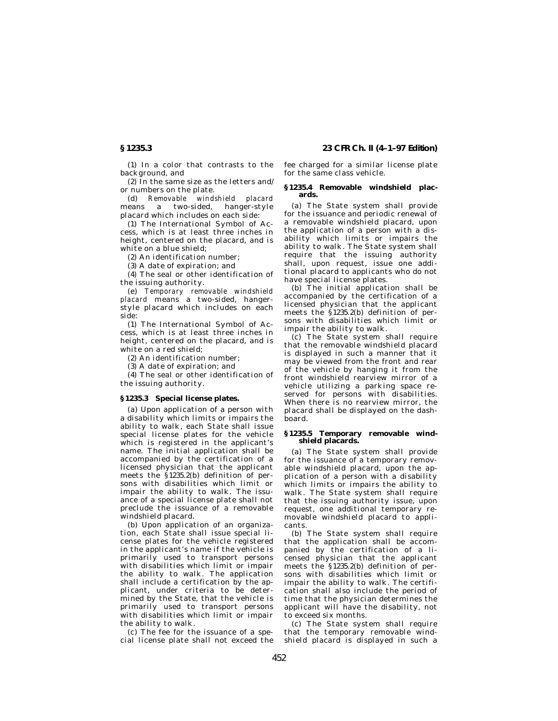(1) In a color that contrasts to the background, and

(2) In the same size as the letters and/ or numbers on the plate.

(d) *Removable windshield placard* means a two-sided, hanger-style placard which includes on each side:

(1) The International Symbol of Access, which is at least three inches in height, centered on the placard, and is white on a blue shield;

(2) An identification number;

(3) A date of expiration; and

(4) The seal or other identification of the issuing authority.

(e) *Temporary removable windshield placard* means a two-sided, hangerstyle placard which includes on each side:

(1) The International Symbol of Access, which is at least three inches in height, centered on the placard, and is white on a red shield;

(2) An identification number;

(3) A date of expiration; and

(4) The seal or other identification of the issuing authority.

#### **§ 1235.3 Special license plates.**

(a) Upon application of a person with a disability which limits or impairs the ability to walk, each State shall issue special license plates for the vehicle which is registered in the applicant's name. The initial application shall be accompanied by the certification of a licensed physician that the applicant meets the § 1235.2(b) definition of persons with disabilities which limit or impair the ability to walk. The issuance of a special license plate shall not preclude the issuance of a removable windshield placard.

(b) Upon application of an organization, each State shall issue special license plates for the vehicle registered in the applicant's name if the vehicle is primarily used to transport persons with disabilities which limit or impair the ability to walk. The application shall include a certification by the applicant, under criteria to be determined by the State, that the vehicle is primarily used to transport persons with disabilities which limit or impair the ability to walk.

(c) The fee for the issuance of a special license plate shall not exceed the

**§ 1235.3 23 CFR Ch. II (4–1–97 Edition)**

fee charged for a similar license plate for the same class vehicle.

#### **§ 1235.4 Removable windshield placards.**

(a) The State system shall provide for the issuance and periodic renewal of a removable windshield placard, upon the application of a person with a disability which limits or impairs the ability to walk. The State system shall require that the issuing authority shall, upon request, issue one additional placard to applicants who do not have special license plates.

(b) The initial application shall be accompanied by the certification of a licensed physician that the applicant meets the § 1235.2(b) definition of persons with disabilities which limit or impair the ability to walk.

(c) The State system shall require that the removable windshield placard is displayed in such a manner that it may be viewed from the front and rear of the vehicle by hanging it from the front windshield rearview mirror of a vehicle utilizing a parking space reserved for persons with disabilities. When there is no rearview mirror, the placard shall be displayed on the dashboard.

#### **§ 1235.5 Temporary removable windshield placards.**

(a) The State system shall provide for the issuance of a temporary removable windshield placard, upon the application of a person with a disability which limits or impairs the ability to walk. The State system shall require that the issuing authority issue, upon request, one additional temporary removable windshield placard to applicants.

(b) The State system shall require that the application shall be accompanied by the certification of a licensed physician that the applicant meets the § 1235.2(b) definition of persons with disabilities which limit or impair the ability to walk. The certification shall also include the period of time that the physician determines the applicant will have the disability, not to exceed six months.

(c) The State system shall require that the temporary removable windshield placard is displayed in such a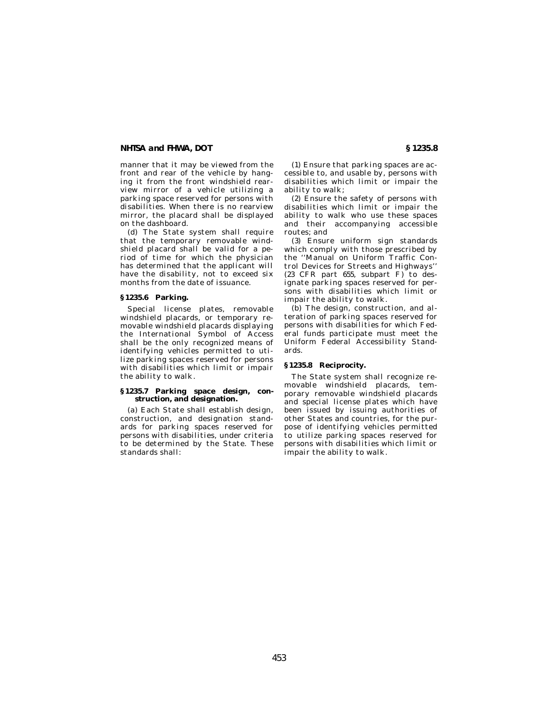#### **NHTSA and FHWA, DOT § 1235.8**

manner that it may be viewed from the front and rear of the vehicle by hanging it from the front windshield rearview mirror of a vehicle utilizing a parking space reserved for persons with disabilities. When there is no rearview mirror, the placard shall be displayed on the dashboard.

(d) The State system shall require that the temporary removable windshield placard shall be valid for a period of time for which the physician has determined that the applicant will have the disability, not to exceed six months from the date of issuance.

#### **§ 1235.6 Parking.**

Special license plates, removable windshield placards, or temporary removable windshield placards displaying the International Symbol of Access shall be the only recognized means of identifying vehicles permitted to utilize parking spaces reserved for persons with disabilities which limit or impair the ability to walk.

#### **§ 1235.7 Parking space design, construction, and designation.**

(a) Each State shall establish design, construction, and designation standards for parking spaces reserved for persons with disabilities, under criteria to be determined by the State. These standards shall:

(1) Ensure that parking spaces are accessible to, and usable by, persons with disabilities which limit or impair the ability to walk;

(2) Ensure the safety of persons with disabilities which limit or impair the ability to walk who use these spaces and their accompanying accessible routes; and

(3) Ensure uniform sign standards which comply with those prescribed by the ''Manual on Uniform Traffic Control Devices for Streets and Highways'' (23 CFR part 655, subpart F) to designate parking spaces reserved for persons with disabilities which limit or impair the ability to walk.

(b) The design, construction, and alteration of parking spaces reserved for persons with disabilities for which Federal funds participate must meet the Uniform Federal Accessibility Standards.

#### **§ 1235.8 Reciprocity.**

The State system shall recognize removable windshield placards, temporary removable windshield placards and special license plates which have been issued by issuing authorities of other States and countries, for the purpose of identifying vehicles permitted to utilize parking spaces reserved for persons with disabilities which limit or impair the ability to walk.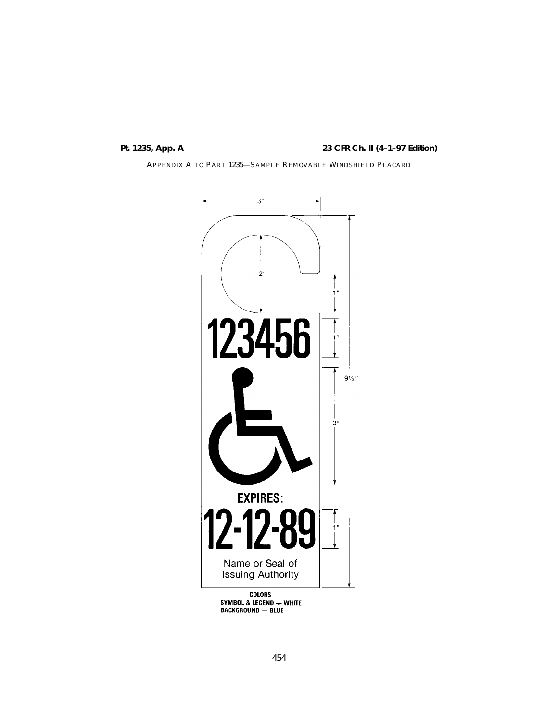# **Pt. 1235, App. A 23 CFR Ch. II (4–1–97 Edition)**

APPENDIX A TO PART 1235—SAMPLE REMOVABLE WINDSHIELD PLACARD



COLORS<br>SYMBOL & LEGEND — WHITE<br>BACKGROUND — BLUE